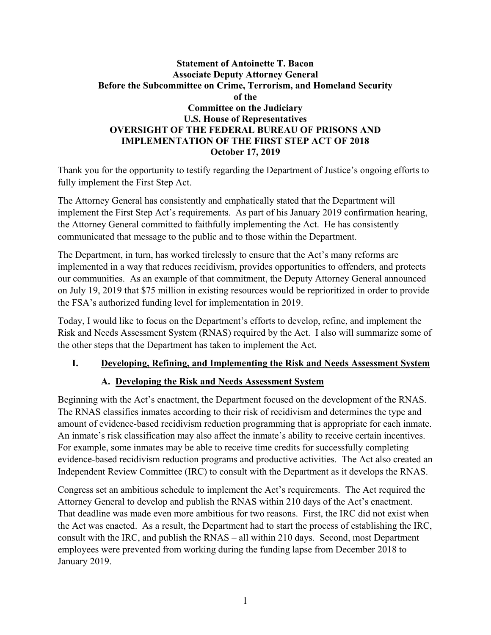#### **Statement of Antoinette T. Bacon Associate Deputy Attorney General Before the Subcommittee on Crime, Terrorism, and Homeland Security of the Committee on the Judiciary U.S. House of Representatives OVERSIGHT OF THE FEDERAL BUREAU OF PRISONS AND IMPLEMENTATION OF THE FIRST STEP ACT OF 2018 October 17, 2019**

Thank you for the opportunity to testify regarding the Department of Justice's ongoing efforts to fully implement the First Step Act.

The Attorney General has consistently and emphatically stated that the Department will implement the First Step Act's requirements. As part of his January 2019 confirmation hearing, the Attorney General committed to faithfully implementing the Act. He has consistently communicated that message to the public and to those within the Department.

The Department, in turn, has worked tirelessly to ensure that the Act's many reforms are implemented in a way that reduces recidivism, provides opportunities to offenders, and protects our communities. As an example of that commitment, the Deputy Attorney General announced on July 19, 2019 that \$75 million in existing resources would be reprioritized in order to provide the FSA's authorized funding level for implementation in 2019.

Today, I would like to focus on the Department's efforts to develop, refine, and implement the Risk and Needs Assessment System (RNAS) required by the Act. I also will summarize some of the other steps that the Department has taken to implement the Act.

## **I. Developing, Refining, and Implementing the Risk and Needs Assessment System**

## **A. Developing the Risk and Needs Assessment System**

Beginning with the Act's enactment, the Department focused on the development of the RNAS. The RNAS classifies inmates according to their risk of recidivism and determines the type and amount of evidence-based recidivism reduction programming that is appropriate for each inmate. An inmate's risk classification may also affect the inmate's ability to receive certain incentives. For example, some inmates may be able to receive time credits for successfully completing evidence-based recidivism reduction programs and productive activities. The Act also created an Independent Review Committee (IRC) to consult with the Department as it develops the RNAS.

Congress set an ambitious schedule to implement the Act's requirements. The Act required the Attorney General to develop and publish the RNAS within 210 days of the Act's enactment. That deadline was made even more ambitious for two reasons. First, the IRC did not exist when the Act was enacted. As a result, the Department had to start the process of establishing the IRC, consult with the IRC, and publish the RNAS – all within 210 days. Second, most Department employees were prevented from working during the funding lapse from December 2018 to January 2019.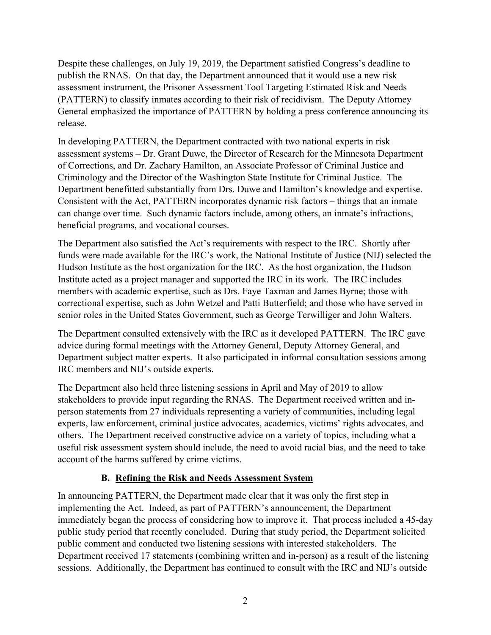Despite these challenges, on July 19, 2019, the Department satisfied Congress's deadline to publish the RNAS. On that day, the Department announced that it would use a new risk assessment instrument, the Prisoner Assessment Tool Targeting Estimated Risk and Needs (PATTERN) to classify inmates according to their risk of recidivism. The Deputy Attorney General emphasized the importance of PATTERN by holding a press conference announcing its release.

In developing PATTERN, the Department contracted with two national experts in risk assessment systems – Dr. Grant Duwe, the Director of Research for the Minnesota Department of Corrections, and Dr. Zachary Hamilton, an Associate Professor of Criminal Justice and Criminology and the Director of the Washington State Institute for Criminal Justice. The Department benefitted substantially from Drs. Duwe and Hamilton's knowledge and expertise. Consistent with the Act, PATTERN incorporates dynamic risk factors – things that an inmate can change over time. Such dynamic factors include, among others, an inmate's infractions, beneficial programs, and vocational courses.

The Department also satisfied the Act's requirements with respect to the IRC. Shortly after funds were made available for the IRC's work, the National Institute of Justice (NIJ) selected the Hudson Institute as the host organization for the IRC. As the host organization, the Hudson Institute acted as a project manager and supported the IRC in its work. The IRC includes members with academic expertise, such as Drs. Faye Taxman and James Byrne; those with correctional expertise, such as John Wetzel and Patti Butterfield; and those who have served in senior roles in the United States Government, such as George Terwilliger and John Walters.

The Department consulted extensively with the IRC as it developed PATTERN. The IRC gave advice during formal meetings with the Attorney General, Deputy Attorney General, and Department subject matter experts. It also participated in informal consultation sessions among IRC members and NIJ's outside experts.

The Department also held three listening sessions in April and May of 2019 to allow stakeholders to provide input regarding the RNAS. The Department received written and inperson statements from 27 individuals representing a variety of communities, including legal experts, law enforcement, criminal justice advocates, academics, victims' rights advocates, and others. The Department received constructive advice on a variety of topics, including what a useful risk assessment system should include, the need to avoid racial bias, and the need to take account of the harms suffered by crime victims.

#### **B. Refining the Risk and Needs Assessment System**

In announcing PATTERN, the Department made clear that it was only the first step in implementing the Act. Indeed, as part of PATTERN's announcement, the Department immediately began the process of considering how to improve it. That process included a 45-day public study period that recently concluded. During that study period, the Department solicited public comment and conducted two listening sessions with interested stakeholders. The Department received 17 statements (combining written and in-person) as a result of the listening sessions. Additionally, the Department has continued to consult with the IRC and NIJ's outside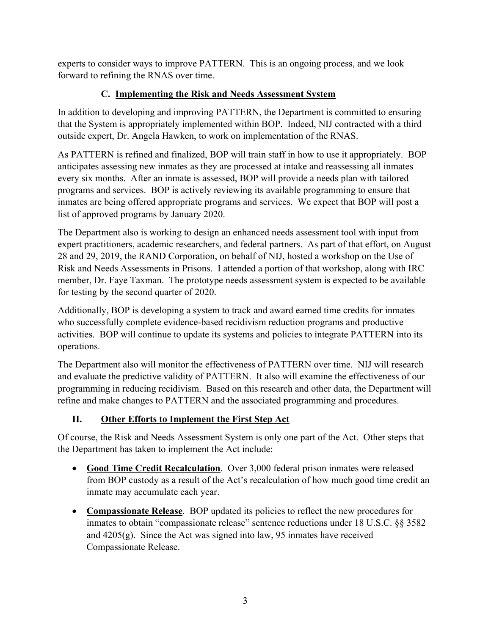experts to consider ways to improve PATTERN. This is an ongoing process, and we look forward to refining the RNAS over time.

## **C. Implementing the Risk and Needs Assessment System**

In addition to developing and improving PATTERN, the Department is committed to ensuring that the System is appropriately implemented within BOP. Indeed, NIJ contracted with a third outside expert, Dr. Angela Hawken, to work on implementation of the RNAS.

As PATTERN is refined and finalized, BOP will train staff in how to use it appropriately. BOP anticipates assessing new inmates as they are processed at intake and reassessing all inmates every six months. After an inmate is assessed, BOP will provide a needs plan with tailored programs and services. BOP is actively reviewing its available programming to ensure that inmates are being offered appropriate programs and services. We expect that BOP will post a list of approved programs by January 2020.

The Department also is working to design an enhanced needs assessment tool with input from expert practitioners, academic researchers, and federal partners. As part of that effort, on August 28 and 29, 2019, the RAND Corporation, on behalf of NIJ, hosted a workshop on the Use of Risk and Needs Assessments in Prisons. I attended a portion of that workshop, along with IRC member, Dr. Faye Taxman. The prototype needs assessment system is expected to be available for testing by the second quarter of 2020.

Additionally, BOP is developing a system to track and award earned time credits for inmates who successfully complete evidence-based recidivism reduction programs and productive activities. BOP will continue to update its systems and policies to integrate PATTERN into its operations.

The Department also will monitor the effectiveness of PATTERN over time. NIJ will research and evaluate the predictive validity of PATTERN. It also will examine the effectiveness of our programming in reducing recidivism. Based on this research and other data, the Department will refine and make changes to PATTERN and the associated programming and procedures.

# **II. Other Efforts to Implement the First Step Act**

Of course, the Risk and Needs Assessment System is only one part of the Act. Other steps that the Department has taken to implement the Act include:

- **Good Time Credit Recalculation**. Over 3,000 federal prison inmates were released from BOP custody as a result of the Act's recalculation of how much good time credit an inmate may accumulate each year.
- **Compassionate Release**. BOP updated its policies to reflect the new procedures for inmates to obtain "compassionate release" sentence reductions under 18 U.S.C. §§ 3582 and  $4205(g)$ . Since the Act was signed into law, 95 inmates have received Compassionate Release.